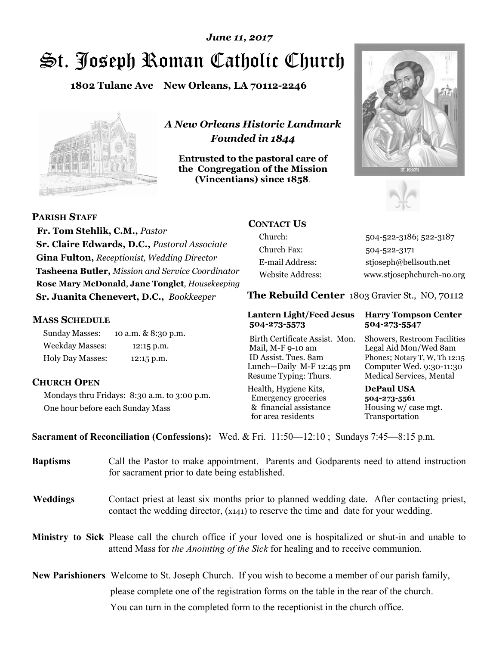# St. Joseph Roman Catholic Church *June 11, 2017*

**1802 Tulane Ave New Orleans, LA 70112-2246**



*A New Orleans Historic Landmark Founded in 1844* 

**Entrusted to the pastoral care of the Congregation of the Mission (Vincentians) since 1858**.





**PARISH STAFF**

 **Fr. Tom Stehlik, C.M.,** *Pastor* **Sr. Claire Edwards, D.C.,** *Pastoral Associate* **Gina Fulton,** *Receptionist, Wedding Director* **Tasheena Butler,** *Mission and Service Coordinator* **Rose Mary McDonald**, **Jane Tonglet**, *Housekeeping* **Sr. Juanita Chenevert, D.C.,** *Bookkeeper* 

#### **MASS SCHEDULE**

Sunday Masses: 10 a.m. & 8:30 p.m. Weekday Masses: 12:15 p.m. Holy Day Masses: 12:15 p.m.

#### **CHURCH OPEN**

Mondays thru Fridays: 8:30 a.m. to 3:00 p.m. One hour before each Sunday Mass

## **CONTACT US**

Church: 504-522-3186; 522-3187 Church Fax: 504-522-3171 E-mail Address: stjoseph@bellsouth.net Website Address: www.stjosephchurch-no.org

**The Rebuild Center** 1803 Gravier St., NO, 70112

#### **Lantern Light/Feed Jesus Harry Tompson Center 504-273-5573 504-273-5547**

 Mail, M-F 9-10 am Legal Aid Mon/Wed 8am ID Assist. Tues. 8am Phones; Notary T, W, Th 12:15 Lunch—Daily M-F 12:45 pm Computer Wed. 9:30-11:30 Resume Typing: Thurs. Medical Services, Mental

Health, Hygiene Kits, **DePaul USA**  Emergency groceries **504-273-5561** & financial assistance Housing w/ case mgt.<br>for area residents Transportation for area residents

Birth Certificate Assist. Mon. Showers, Restroom Facilities

**Sacrament of Reconciliation (Confessions):** Wed. & Fri. 11:50—12:10 ; Sundays 7:45—8:15 p.m.

| <b>Baptisms</b> | Call the Pastor to make appointment. Parents and Godparents need to attend instruction<br>for sacrament prior to date being established.                                                            |  |
|-----------------|-----------------------------------------------------------------------------------------------------------------------------------------------------------------------------------------------------|--|
| <b>Weddings</b> | Contact priest at least six months prior to planned wedding date. After contacting priest,<br>contact the wedding director, (x141) to reserve the time and date for your wedding.                   |  |
|                 | <b>Ministry to Sick</b> Please call the church office if your loved one is hospitalized or shut-in and unable to<br>attend Mass for the Anointing of the Sick for healing and to receive communion. |  |
|                 | <b>New Parishioners</b> Welcome to St. Joseph Church. If you wish to become a member of our parish family,                                                                                          |  |
|                 | please complete one of the registration forms on the table in the rear of the church.                                                                                                               |  |
|                 | You can turn in the completed form to the reception is the church office.                                                                                                                           |  |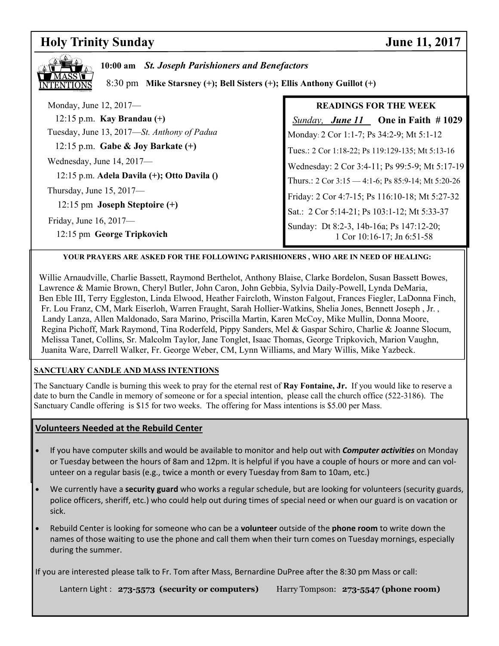## **Holy Trinity Sunday June 11, 2017**

| 10:00 am St. Joseph Parishioners and Benefactors<br>8:30 pm Mike Starsney (+); Bell Sisters (+); Ellis Anthony Guillot (+) |                                                                        |  |  |
|----------------------------------------------------------------------------------------------------------------------------|------------------------------------------------------------------------|--|--|
| Monday, June 12, 2017—                                                                                                     | <b>READINGS FOR THE WEEK</b>                                           |  |  |
| 12:15 p.m. Kay Brandau $(+)$                                                                                               | Sunday, June 11 One in Faith #1029                                     |  |  |
| Tuesday, June 13, 2017—St. Anthony of Padua                                                                                | Monday: 2 Cor 1:1-7; Ps 34:2-9; Mt 5:1-12                              |  |  |
| 12:15 p.m. Gabe & Joy Barkate $(+)$                                                                                        | Tues.: 2 Cor 1:18-22; Ps 119:129-135; Mt 5:13-16                       |  |  |
| Wednesday, June $14, 2017$ —                                                                                               | Wednesday: 2 Cor 3:4-11; Ps 99:5-9; Mt 5:17-19                         |  |  |
| 12:15 p.m. Adela Davila (+); Otto Davila ()                                                                                | Thurs.: 2 Cor $3:15 - 4:1-6$ ; Ps 85:9-14; Mt 5:20-26                  |  |  |
| Thursday, June $15, 2017$ —                                                                                                | Friday: 2 Cor 4:7-15; Ps 116:10-18; Mt 5:27-32                         |  |  |
| 12:15 pm Joseph Steptoire $(+)$                                                                                            | Sat.: 2 Cor 5:14-21; Ps 103:1-12; Mt 5:33-37                           |  |  |
| Friday, June 16, $2017$ —<br>12:15 pm George Tripkovich                                                                    | Sunday: Dt 8:2-3, 14b-16a; Ps 147:12-20;<br>1 Cor 10:16-17; Jn 6:51-58 |  |  |

#### **YOUR PRAYERS ARE ASKED FOR THE FOLLOWING PARISHIONERS , WHO ARE IN NEED OF HEALING:**

 Willie Arnaudville, Charlie Bassett, Raymond Berthelot, Anthony Blaise, Clarke Bordelon, Susan Bassett Bowes, Lawrence & Mamie Brown, Cheryl Butler, John Caron, John Gebbia, Sylvia Daily-Powell, Lynda DeMaria, Ben Eble III, Terry Eggleston, Linda Elwood, Heather Faircloth, Winston Falgout, Frances Fiegler, LaDonna Finch, Fr. Lou Franz, CM, Mark Eiserloh, Warren Fraught, Sarah Hollier-Watkins, Shelia Jones, Bennett Joseph , Jr. , Landy Lanza, Allen Maldonado, Sara Marino, Priscilla Martin, Karen McCoy, Mike Mullin, Donna Moore, Regina Pichoff, Mark Raymond, Tina Roderfeld, Pippy Sanders, Mel & Gaspar Schiro, Charlie & Joanne Slocum, Melissa Tanet, Collins, Sr. Malcolm Taylor, Jane Tonglet, Isaac Thomas, George Tripkovich, Marion Vaughn, Juanita Ware, Darrell Walker, Fr. George Weber, CM, Lynn Williams, and Mary Willis, Mike Yazbeck.

#### **SANCTUARY CANDLE AND MASS INTENTIONS**

The Sanctuary Candle is burning this week to pray for the eternal rest of **Ray Fontaine, Jr.** If you would like to reserve a date to burn the Candle in memory of someone or for a special intention, please call the church office (522-3186). The Sanctuary Candle offering is \$15 for two weeks. The offering for Mass intentions is \$5.00 per Mass.

#### **Volunteers Needed at the Rebuild Center**

- If you have computer skills and would be available to monitor and help out with *Computer activities* on Monday or Tuesday between the hours of 8am and 12pm. It is helpful if you have a couple of hours or more and can volunteer on a regular basis (e.g., twice a month or every Tuesday from 8am to 10am, etc.)
- We currently have a **security guard** who works a regular schedule, but are looking for volunteers (security guards, police officers, sheriff, etc.) who could help out during times of special need or when our guard is on vacation or sick.
- Rebuild Center is looking for someone who can be a **volunteer** outside of the **phone room** to write down the names of those waiting to use the phone and call them when their turn comes on Tuesday mornings, especially during the summer.

If you are interested please talk to Fr. Tom after Mass, Bernardine DuPree after the 8:30 pm Mass or call:

Lantern Light : **273-5573 (security or computers)** Harry Tompson: **273-5547 (phone room)**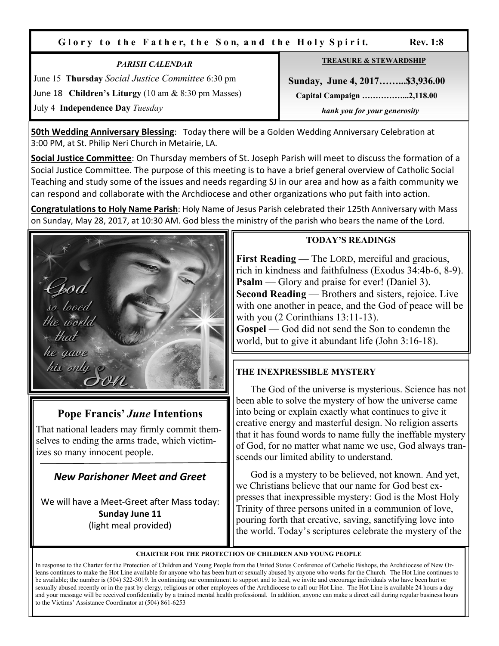Glory to the Father, the Son, and the Holy Spirit. Rev. 1:8

*PARISH CALENDAR*  June 15 **Thursday** *Social Justice Committee* 6:30 pm June 18 **Children's Liturgy** (10 am & 8:30 pm Masses) July 4 **Independence Day** *Tuesday*

| <b>TREASURE &amp; STEWARDSHIP</b> |  |  |
|-----------------------------------|--|--|
| Sunday, June 4, 2017\$3,936.00    |  |  |
| Capital Campaign 2,118.00         |  |  |
| hank you for your generosity      |  |  |

**50th Wedding Anniversary Blessing**: Today there will be a Golden Wedding Anniversary Celebration at 3:00 PM, at St. Philip Neri Church in Metairie, LA.

**Social Justice Committee**: On Thursday members of St. Joseph Parish will meet to discuss the formation of a Social Justice Committee. The purpose of this meeting is to have a brief general overview of Catholic Social Teaching and study some of the issues and needs regarding SJ in our area and how as a faith community we can respond and collaborate with the Archdiocese and other organizations who put faith into action.

**Congratulations to Holy Name Parish**: Holy Name of Jesus Parish celebrated their 125th Anniversary with Mass on Sunday, May 28, 2017, at 10:30 AM. God bless the ministry of the parish who bears the name of the Lord.



## **Pope Francis'** *June* **Intentions**

That national leaders may firmly commit themselves to ending the arms trade, which victimizes so many innocent people.

## *New Parishoner Meet and Greet*

We will have a Meet-Greet after Mass today: **Sunday June 11** (light meal provided)

### **TODAY'S READINGS**

**First Reading** — The LORD, merciful and gracious, rich in kindness and faithfulness (Exodus 34:4b-6, 8-9). **Psalm** — Glory and praise for ever! (Daniel 3). **Second Reading** — Brothers and sisters, rejoice. Live with one another in peace, and the God of peace will be with you (2 Corinthians 13:11-13).

**Gospel** — God did not send the Son to condemn the world, but to give it abundant life (John 3:16-18).

## **THE INEXPRESSIBLE MYSTERY**

 The God of the universe is mysterious. Science has not been able to solve the mystery of how the universe came into being or explain exactly what continues to give it creative energy and masterful design. No religion asserts that it has found words to name fully the ineffable mystery of God, for no matter what name we use, God always transcends our limited ability to understand.

 God is a mystery to be believed, not known. And yet, we Christians believe that our name for God best expresses that inexpressible mystery: God is the Most Holy Trinity of three persons united in a communion of love, pouring forth that creative, saving, sanctifying love into the world. Today's scriptures celebrate the mystery of the

#### **CHARTER FOR THE PROTECTION OF CHILDREN AND YOUNG PEOPLE**

In response to the Charter for the Protection of Children and Young People from the United States Conference of Catholic Bishops, the Archdiocese of New Orleans continues to make the Hot Line available for anyone who has been hurt or sexually abused by anyone who works for the Church. The Hot Line continues to be available; the number is (504) 522-5019. In continuing our commitment to support and to heal, we invite and encourage individuals who have been hurt or sexually abused recently or in the past by clergy, religious or other employees of the Archdiocese to call our Hot Line. The Hot Line is available 24 hours a day and your message will be received confidentially by a trained mental health professional. In addition, anyone can make a direct call during regular business hours to the Victims' Assistance Coordinator at (504) 861-6253